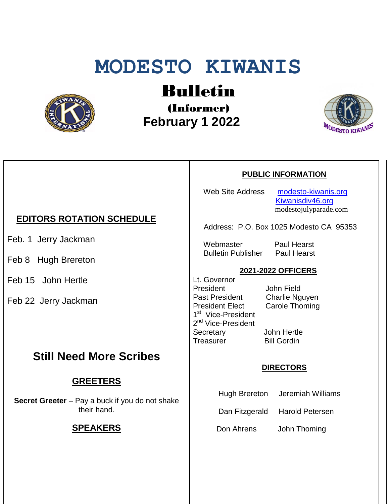# **MODESTO KIWANIS**



Bulletin

(Informer)  **February 1 2022**



### **PUBLIC INFORMATION**

Web Site Address [modesto-kiwanis.org](http://modesto-kiwanis.org/) [Kiwanisdiv46.org](http://www.kiwanisdiv46.org/) modestojulyparade.com

Address: P.O. Box 1025 Modesto CA 95353

 Webmaster Paul Hearst Bulletin Publisher Paul Hearst

#### **2021-2022 OFFICERS**

Lt. Governor President John Field Past President Charlie Nguyen President Elect Carole Thoming 1<sup>st</sup> Vice-President 2<sup>nd</sup> Vice-President Secretary John Hertle Treasurer Bill Gordin

#### **DIRECTORS**

Hugh Brereton Jeremiah Williams

Dan Fitzgerald Harold Petersen

Don Ahrens John Thoming

## **EDITORS ROTATION SCHEDULE**

Feb. 1 Jerry Jackman

- Feb 8 Hugh Brereton
- Feb 15 John Hertle

Feb 22 Jerry Jackman

## **Still Need More Scribes**

## **GREETERS**

**Secret Greeter** – Pay a buck if you do not shake their hand.

## **SPEAKERS**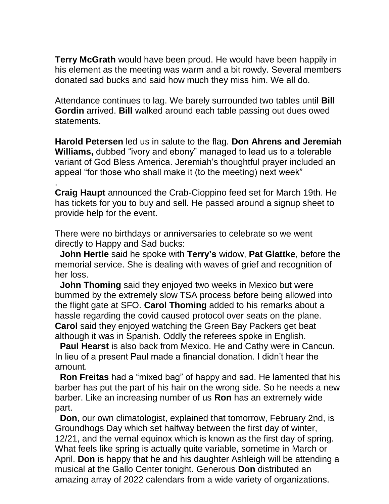**Terry McGrath** would have been proud. He would have been happily in his element as the meeting was warm and a bit rowdy. Several members donated sad bucks and said how much they miss him. We all do.

Attendance continues to lag. We barely surrounded two tables until **Bill Gordin** arrived. **Bill** walked around each table passing out dues owed statements.

**Harold Petersen** led us in salute to the flag. **Don Ahrens and Jeremiah Williams,** dubbed "ivory and ebony" managed to lead us to a tolerable variant of God Bless America. Jeremiah's thoughtful prayer included an appeal "for those who shall make it (to the meeting) next week"

**Craig Haupt** announced the Crab-Cioppino feed set for March 19th. He has tickets for you to buy and sell. He passed around a signup sheet to provide help for the event.

There were no birthdays or anniversaries to celebrate so we went directly to Happy and Sad bucks:

.

 **John Hertle** said he spoke with **Terry's** widow, **Pat Glattke**, before the memorial service. She is dealing with waves of grief and recognition of her loss.

 **John Thoming** said they enjoyed two weeks in Mexico but were bummed by the extremely slow TSA process before being allowed into the flight gate at SFO. **Carol Thoming** added to his remarks about a hassle regarding the covid caused protocol over seats on the plane. **Carol** said they enjoyed watching the Green Bay Packers get beat although it was in Spanish. Oddly the referees spoke in English.

 **Paul Hearst** is also back from Mexico. He and Cathy were in Cancun. In lieu of a present Paul made a financial donation. I didn't hear the amount.

 **Ron Freitas** had a "mixed bag" of happy and sad. He lamented that his barber has put the part of his hair on the wrong side. So he needs a new barber. Like an increasing number of us **Ron** has an extremely wide part.

 **Don**, our own climatologist, explained that tomorrow, February 2nd, is Groundhogs Day which set halfway between the first day of winter, 12/21, and the vernal equinox which is known as the first day of spring. What feels like spring is actually quite variable, sometime in March or April. **Don** is happy that he and his daughter Ashleigh will be attending a musical at the Gallo Center tonight. Generous **Don** distributed an amazing array of 2022 calendars from a wide variety of organizations.